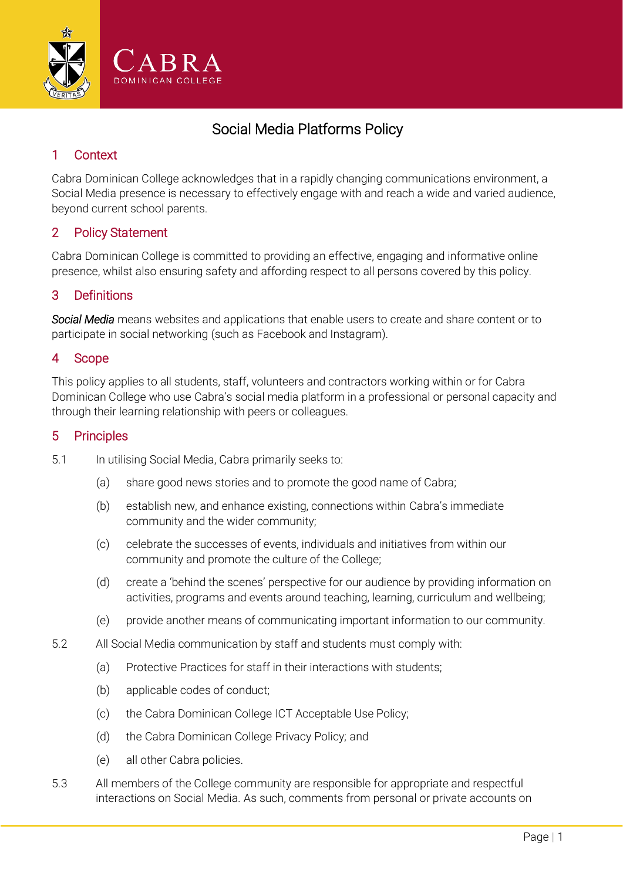

# Social Media Platforms Policy

### 1 Context

Cabra Dominican College acknowledges that in a rapidly changing communications environment, a Social Media presence is necessary to effectively engage with and reach a wide and varied audience, beyond current school parents.

#### 2 Policy Statement

Cabra Dominican College is committed to providing an effective, engaging and informative online presence, whilst also ensuring safety and affording respect to all persons covered by this policy.

#### 3 Definitions

*Social Media* means websites and applications that enable users to create and share content or to participate in social networking (such as Facebook and Instagram).

#### 4 Scope

This policy applies to all students, staff, volunteers and contractors working within or for Cabra Dominican College who use Cabra's social media platform in a professional or personal capacity and through their learning relationship with peers or colleagues.

#### 5 Principles

- 5.1 In utilising Social Media, Cabra primarily seeks to:
	- (a) share good news stories and to promote the good name of Cabra;
	- (b) establish new, and enhance existing, connections within Cabra's immediate community and the wider community;
	- (c) celebrate the successes of events, individuals and initiatives from within our community and promote the culture of the College;
	- (d) create a 'behind the scenes' perspective for our audience by providing information on activities, programs and events around teaching, learning, curriculum and wellbeing;
	- (e) provide another means of communicating important information to our community.
- <span id="page-0-0"></span>5.2 All Social Media communication by staff and students must comply with:
	- (a) Protective Practices for staff in their interactions with students;
	- (b) applicable codes of conduct;
	- (c) the Cabra Dominican College ICT Acceptable Use Policy;
	- (d) the Cabra Dominican College Privacy Policy; and
	- (e) all other Cabra policies.
- 5.3 All members of the College community are responsible for appropriate and respectful interactions on Social Media. As such, comments from personal or private accounts on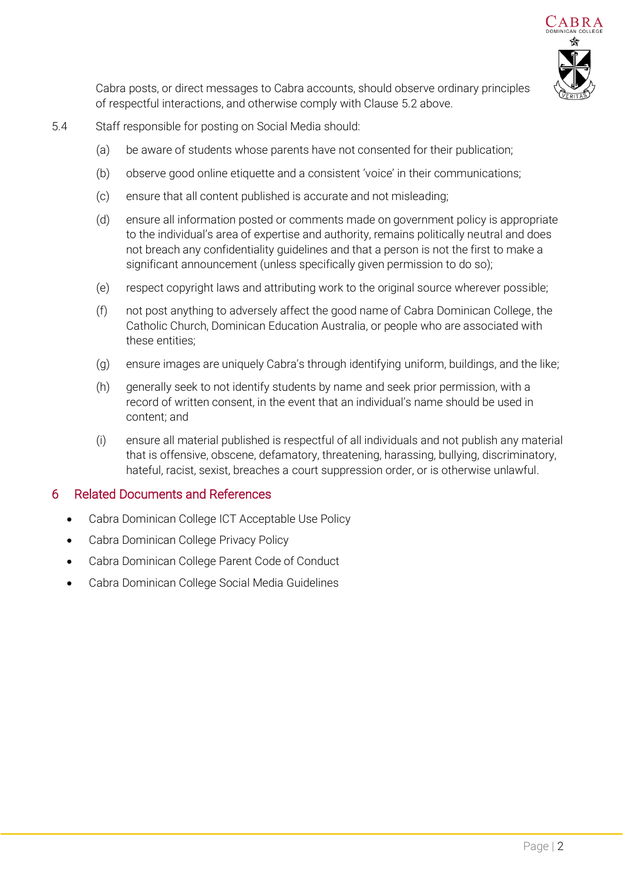

Cabra posts, or direct messages to Cabra accounts, should observe ordinary principles of respectful interactions, and otherwise comply with Clause [5.2 above.](#page-0-0)

- 5.4 Staff responsible for posting on Social Media should:
	- (a) be aware of students whose parents have not consented for their publication;
	- (b) observe good online etiquette and a consistent 'voice' in their communications;
	- (c) ensure that all content published is accurate and not misleading;
	- (d) ensure all information posted or comments made on government policy is appropriate to the individual's area of expertise and authority, remains politically neutral and does not breach any confidentiality guidelines and that a person is not the first to make a significant announcement (unless specifically given permission to do so);
	- (e) respect copyright laws and attributing work to the original source wherever possible;
	- (f) not post anything to adversely affect the good name of Cabra Dominican College, the Catholic Church, Dominican Education Australia, or people who are associated with these entities;
	- (g) ensure images are uniquely Cabra's through identifying uniform, buildings, and the like;
	- (h) generally seek to not identify students by name and seek prior permission, with a record of written consent, in the event that an individual's name should be used in content; and
	- (i) ensure all material published is respectful of all individuals and not publish any material that is offensive, obscene, defamatory, threatening, harassing, bullying, discriminatory, hateful, racist, sexist, breaches a court suppression order, or is otherwise unlawful.

#### 6 Related Documents and References

- Cabra Dominican College ICT Acceptable Use Policy
- Cabra Dominican College Privacy Policy
- Cabra Dominican College Parent Code of Conduct
- Cabra Dominican College Social Media Guidelines